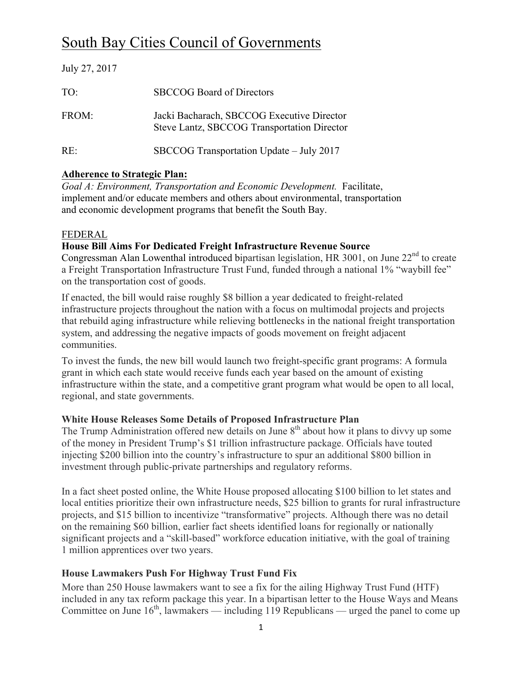# South Bay Cities Council of Governments

| July 27, 2017 |                                                                                           |
|---------------|-------------------------------------------------------------------------------------------|
| TO:           | <b>SBCCOG</b> Board of Directors                                                          |
| FROM:         | Jacki Bacharach, SBCCOG Executive Director<br>Steve Lantz, SBCCOG Transportation Director |
| $RE^+$        | SBCCOG Transportation Update – July 2017                                                  |

## **Adherence to Strategic Plan:**

*Goal A: Environment, Transportation and Economic Development.* Facilitate, implement and/or educate members and others about environmental, transportation and economic development programs that benefit the South Bay.

## FEDERAL

## **House Bill Aims For Dedicated Freight Infrastructure Revenue Source**

Congressman Alan Lowenthal introduced bipartisan legislation, HR 3001, on June  $22<sup>nd</sup>$  to create a Freight Transportation Infrastructure Trust Fund, funded through a national 1% "waybill fee" on the transportation cost of goods.

If enacted, the bill would raise roughly \$8 billion a year dedicated to freight-related infrastructure projects throughout the nation with a focus on multimodal projects and projects that rebuild aging infrastructure while relieving bottlenecks in the national freight transportation system, and addressing the negative impacts of goods movement on freight adjacent communities.

To invest the funds, the new bill would launch two freight-specific grant programs: A formula grant in which each state would receive funds each year based on the amount of existing infrastructure within the state, and a competitive grant program what would be open to all local, regional, and state governments.

#### **White House Releases Some Details of Proposed Infrastructure Plan**

The Trump Administration offered new details on June  $8<sup>th</sup>$  about how it plans to divvy up some of the money in President Trump's \$1 trillion infrastructure package. Officials have touted injecting \$200 billion into the country's infrastructure to spur an additional \$800 billion in investment through public-private partnerships and regulatory reforms.

In a fact sheet posted online, the White House proposed allocating \$100 billion to let states and local entities prioritize their own infrastructure needs, \$25 billion to grants for rural infrastructure projects, and \$15 billion to incentivize "transformative" projects. Although there was no detail on the remaining \$60 billion, earlier fact sheets identified loans for regionally or nationally significant projects and a "skill-based" workforce education initiative, with the goal of training 1 million apprentices over two years.

## **House Lawmakers Push For Highway Trust Fund Fix**

More than 250 House lawmakers want to see a fix for the ailing Highway Trust Fund (HTF) included in any tax reform package this year. In a bipartisan letter to the House Ways and Means Committee on June  $16<sup>th</sup>$ , lawmakers — including 119 Republicans — urged the panel to come up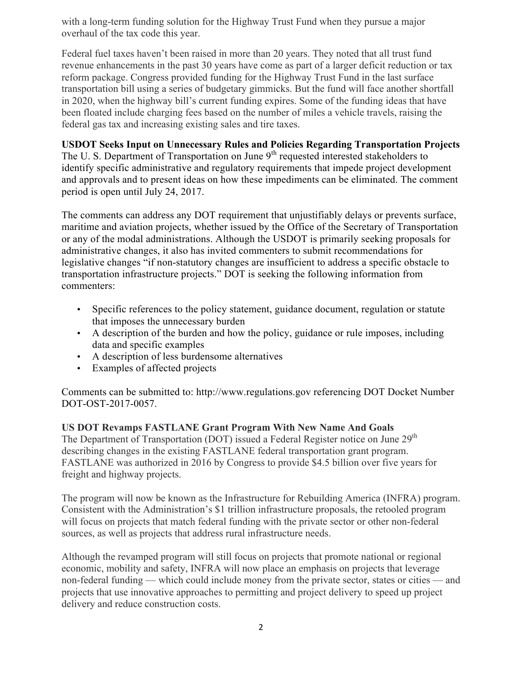with a long-term funding solution for the Highway Trust Fund when they pursue a major overhaul of the tax code this year.

Federal fuel taxes haven't been raised in more than 20 years. They noted that all trust fund revenue enhancements in the past 30 years have come as part of a larger deficit reduction or tax reform package. Congress provided funding for the Highway Trust Fund in the last surface transportation bill using a series of budgetary gimmicks. But the fund will face another shortfall in 2020, when the highway bill's current funding expires. Some of the funding ideas that have been floated include charging fees based on the number of miles a vehicle travels, raising the federal gas tax and increasing existing sales and tire taxes.

# **USDOT Seeks Input on Unnecessary Rules and Policies Regarding Transportation Projects**

The U. S. Department of Transportation on June 9<sup>th</sup> requested interested stakeholders to identify specific administrative and regulatory requirements that impede project development and approvals and to present ideas on how these impediments can be eliminated. The comment period is open until July 24, 2017.

The comments can address any DOT requirement that unjustifiably delays or prevents surface, maritime and aviation projects, whether issued by the Office of the Secretary of Transportation or any of the modal administrations. Although the USDOT is primarily seeking proposals for administrative changes, it also has invited commenters to submit recommendations for legislative changes "if non-statutory changes are insufficient to address a specific obstacle to transportation infrastructure projects." DOT is seeking the following information from commenters:

- Specific references to the policy statement, guidance document, regulation or statute that imposes the unnecessary burden
- A description of the burden and how the policy, guidance or rule imposes, including data and specific examples
- A description of less burdensome alternatives
- Examples of affected projects

Comments can be submitted to: http://www.regulations.gov referencing DOT Docket Number DOT-OST-2017-0057.

#### **US DOT Revamps FASTLANE Grant Program With New Name And Goals**

The Department of Transportation (DOT) issued a Federal Register notice on June 29<sup>th</sup> describing changes in the existing FASTLANE federal transportation grant program. FASTLANE was authorized in 2016 by Congress to provide \$4.5 billion over five years for freight and highway projects.

The program will now be known as the Infrastructure for Rebuilding America (INFRA) program. Consistent with the Administration's \$1 trillion infrastructure proposals, the retooled program will focus on projects that match federal funding with the private sector or other non-federal sources, as well as projects that address rural infrastructure needs.

Although the revamped program will still focus on projects that promote national or regional economic, mobility and safety, INFRA will now place an emphasis on projects that leverage non-federal funding — which could include money from the private sector, states or cities — and projects that use innovative approaches to permitting and project delivery to speed up project delivery and reduce construction costs.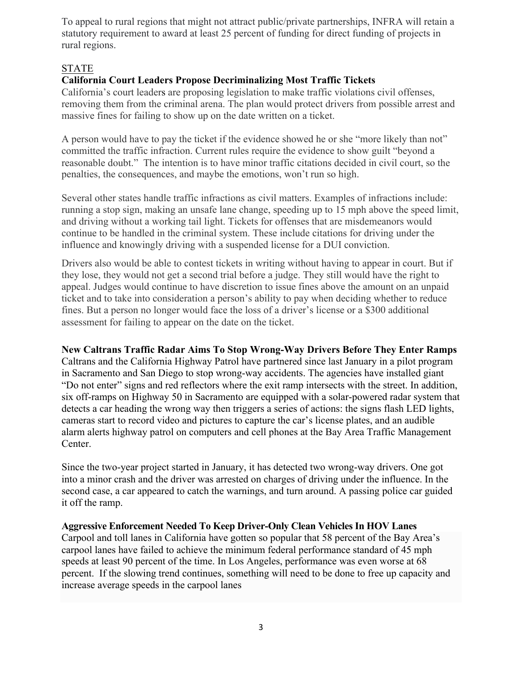To appeal to rural regions that might not attract public/private partnerships, INFRA will retain a statutory requirement to award at least 25 percent of funding for direct funding of projects in rural regions.

## STATE

# **California Court Leaders Propose Decriminalizing Most Traffic Tickets**

California's court leaders are proposing legislation to make traffic violations civil offenses, removing them from the criminal arena. The plan would protect drivers from possible arrest and massive fines for failing to show up on the date written on a ticket.

A person would have to pay the ticket if the evidence showed he or she "more likely than not" committed the traffic infraction. Current rules require the evidence to show guilt "beyond a reasonable doubt." The intention is to have minor traffic citations decided in civil court, so the penalties, the consequences, and maybe the emotions, won't run so high.

Several other states handle traffic infractions as civil matters. Examples of infractions include: running a stop sign, making an unsafe lane change, speeding up to 15 mph above the speed limit, and driving without a working tail light. Tickets for offenses that are misdemeanors would continue to be handled in the criminal system. These include citations for driving under the influence and knowingly driving with a suspended license for a DUI conviction.

Drivers also would be able to contest tickets in writing without having to appear in court. But if they lose, they would not get a second trial before a judge. They still would have the right to appeal. Judges would continue to have discretion to issue fines above the amount on an unpaid ticket and to take into consideration a person's ability to pay when deciding whether to reduce fines. But a person no longer would face the loss of a driver's license or a \$300 additional assessment for failing to appear on the date on the ticket.

**New Caltrans Traffic Radar Aims To Stop Wrong-Way Drivers Before They Enter Ramps**

Caltrans and the California Highway Patrol have partnered since last January in a pilot program in Sacramento and San Diego to stop wrong-way accidents. The agencies have installed giant "Do not enter" signs and red reflectors where the exit ramp intersects with the street. In addition, six off-ramps on Highway 50 in Sacramento are equipped with a solar-powered radar system that detects a car heading the wrong way then triggers a series of actions: the signs flash LED lights, cameras start to record video and pictures to capture the car's license plates, and an audible alarm alerts highway patrol on computers and cell phones at the Bay Area Traffic Management Center.

Since the two-year project started in January, it has detected two wrong-way drivers. One got into a minor crash and the driver was arrested on charges of driving under the influence. In the second case, a car appeared to catch the warnings, and turn around. A passing police car guided it off the ramp.

**Aggressive Enforcement Needed To Keep Driver-Only Clean Vehicles In HOV Lanes**

Carpool and toll lanes in California have gotten so popular that 58 percent of the Bay Area's carpool lanes have failed to achieve the minimum federal performance standard of 45 mph speeds at least 90 percent of the time. In Los Angeles, performance was even worse at 68 percent. If the slowing trend continues, something will need to be done to free up capacity and increase average speeds in the carpool lanes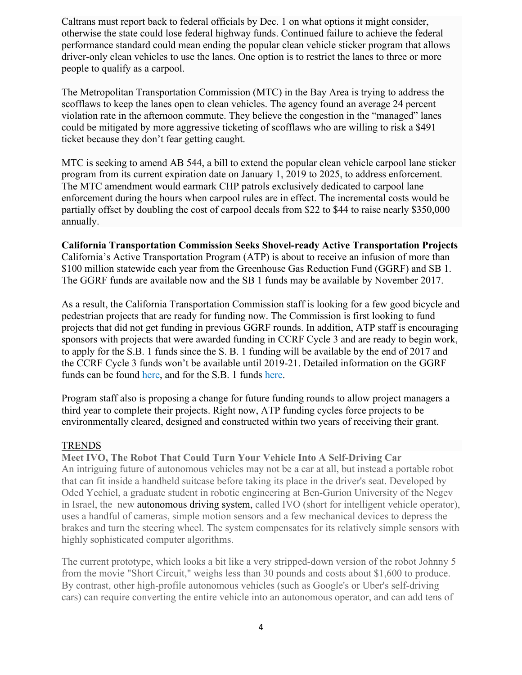Caltrans must report back to federal officials by Dec. 1 on what options it might consider, otherwise the state could lose federal highway funds. Continued failure to achieve the federal performance standard could mean ending the popular clean vehicle sticker program that allows driver-only clean vehicles to use the lanes. One option is to restrict the lanes to three or more people to qualify as a carpool.

The Metropolitan Transportation Commission (MTC) in the Bay Area is trying to address the scofflaws to keep the lanes open to clean vehicles. The agency found an average 24 percent violation rate in the afternoon commute. They believe the congestion in the "managed" lanes could be mitigated by more aggressive ticketing of scofflaws who are willing to risk a \$491 ticket because they don't fear getting caught.

MTC is seeking to amend AB 544, a bill to extend the popular clean vehicle carpool lane sticker program from its current expiration date on January 1, 2019 to 2025, to address enforcement. The MTC amendment would earmark CHP patrols exclusively dedicated to carpool lane enforcement during the hours when carpool rules are in effect. The incremental costs would be partially offset by doubling the cost of carpool decals from \$22 to \$44 to raise nearly \$350,000 annually.

**California Transportation Commission Seeks Shovel-ready Active Transportation Projects** California's Active Transportation Program (ATP) is about to receive an infusion of more than \$100 million statewide each year from the Greenhouse Gas Reduction Fund (GGRF) and SB 1. The GGRF funds are available now and the SB 1 funds may be available by November 2017.

As a result, the California Transportation Commission staff is looking for a few good bicycle and pedestrian projects that are ready for funding now. The Commission is first looking to fund projects that did not get funding in previous GGRF rounds. In addition, ATP staff is encouraging sponsors with projects that were awarded funding in CCRF Cycle 3 and are ready to begin work, to apply for the S.B. 1 funds since the S. B. 1 funding will be available by the end of 2017 and the CCRF Cycle 3 funds won't be available until 2019-21. Detailed information on the GGRF funds can be found here, and for the S.B. 1 funds here.

Program staff also is proposing a change for future funding rounds to allow project managers a third year to complete their projects. Right now, ATP funding cycles force projects to be environmentally cleared, designed and constructed within two years of receiving their grant.

#### **TRENDS**

**Meet IVO, The Robot That Could Turn Your Vehicle Into A Self-Driving Car**  An intriguing future of autonomous vehicles may not be a car at all, but instead a portable robot that can fit inside a handheld suitcase before taking its place in the driver's seat. Developed by Oded Yechiel, a graduate student in robotic engineering at Ben-Gurion University of the Negev in Israel, the new autonomous driving system, called IVO (short for intelligent vehicle operator), uses a handful of cameras, simple motion sensors and a few mechanical devices to depress the brakes and turn the steering wheel. The system compensates for its relatively simple sensors with highly sophisticated computer algorithms.

The current prototype, which looks a bit like a very stripped-down version of the robot Johnny 5 from the movie "Short Circuit," weighs less than 30 pounds and costs about \$1,600 to produce. By contrast, other high-profile autonomous vehicles (such as Google's or Uber's self-driving cars) can require converting the entire vehicle into an autonomous operator, and can add tens of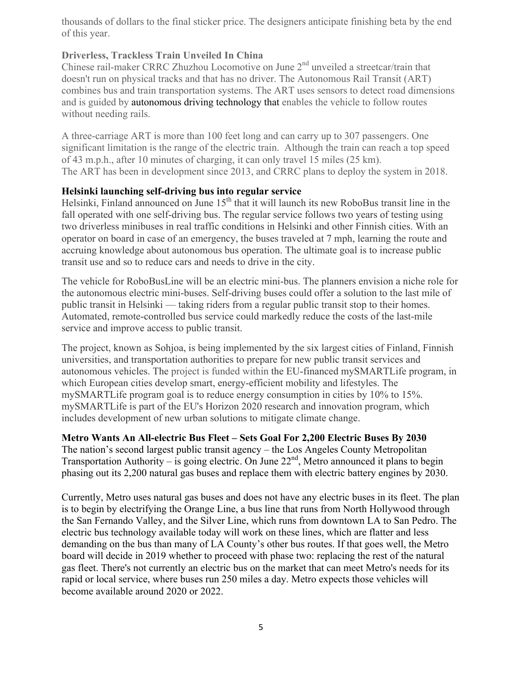thousands of dollars to the final sticker price. The designers anticipate finishing beta by the end of this year.

## **Driverless, Trackless Train Unveiled In China**

Chinese rail-maker CRRC Zhuzhou Locomotive on June 2<sup>nd</sup> unveiled a streetcar/train that doesn't run on physical tracks and that has no driver. The Autonomous Rail Transit (ART) combines bus and train transportation systems. The ART uses sensors to detect road dimensions and is guided by autonomous driving technology that enables the vehicle to follow routes without needing rails.

A three-carriage ART is more than 100 feet long and can carry up to 307 passengers. One significant limitation is the range of the electric train. Although the train can reach a top speed of 43 m.p.h., after 10 minutes of charging, it can only travel 15 miles (25 km). The ART has been in development since 2013, and CRRC plans to deploy the system in 2018.

#### **Helsinki launching self-driving bus into regular service**

Helsinki, Finland announced on June  $15<sup>th</sup>$  that it will launch its new RoboBus transit line in the fall operated with one self-driving bus. The regular service follows two years of testing using two driverless minibuses in real traffic conditions in Helsinki and other Finnish cities. With an operator on board in case of an emergency, the buses traveled at 7 mph, learning the route and accruing knowledge about autonomous bus operation. The ultimate goal is to increase public transit use and so to reduce cars and needs to drive in the city.

The vehicle for RoboBusLine will be an electric mini-bus. The planners envision a niche role for the autonomous electric mini-buses. Self-driving buses could offer a solution to the last mile of public transit in Helsinki — taking riders from a regular public transit stop to their homes. Automated, remote-controlled bus service could markedly reduce the costs of the last-mile service and improve access to public transit.

The project, known as Sohjoa, is being implemented by the six largest cities of Finland, Finnish universities, and transportation authorities to prepare for new public transit services and autonomous vehicles. The project is funded within the EU-financed mySMARTLife program, in which European cities develop smart, energy-efficient mobility and lifestyles. The mySMARTLife program goal is to reduce energy consumption in cities by 10% to 15%. mySMARTLife is part of the EU's Horizon 2020 research and innovation program, which includes development of new urban solutions to mitigate climate change.

**Metro Wants An All-electric Bus Fleet – Sets Goal For 2,200 Electric Buses By 2030**

The nation's second largest public transit agency – the Los Angeles County Metropolitan Transportation Authority – is going electric. On June  $22<sup>nd</sup>$ , Metro announced it plans to begin phasing out its 2,200 natural gas buses and replace them with electric battery engines by 2030.

Currently, Metro uses natural gas buses and does not have any electric buses in its fleet. The plan is to begin by electrifying the Orange Line, a bus line that runs from North Hollywood through the San Fernando Valley, and the Silver Line, which runs from downtown LA to San Pedro. The electric bus technology available today will work on these lines, which are flatter and less demanding on the bus than many of LA County's other bus routes. If that goes well, the Metro board will decide in 2019 whether to proceed with phase two: replacing the rest of the natural gas fleet. There's not currently an electric bus on the market that can meet Metro's needs for its rapid or local service, where buses run 250 miles a day. Metro expects those vehicles will become available around 2020 or 2022.